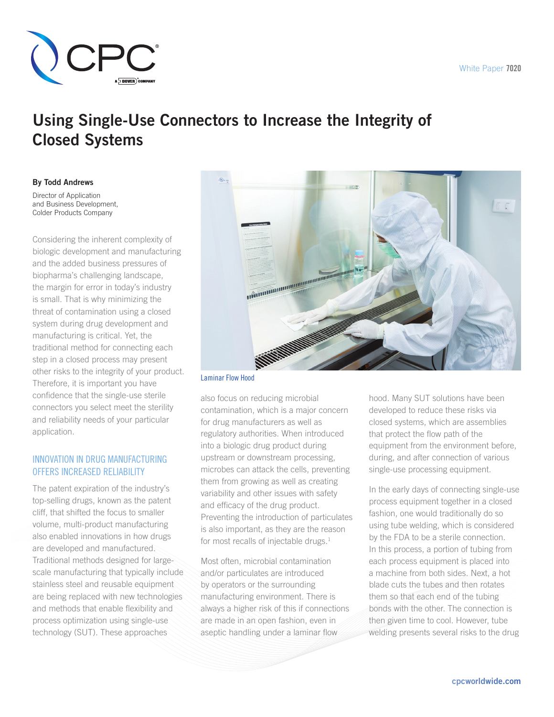

# Using Single-Use Connectors to Increase the Integrity of Closed Systems

By Todd Andrews

Director of Application and Business Development, Colder Products Company

Considering the inherent complexity of biologic development and manufacturing and the added business pressures of biopharma's challenging landscape, the margin for error in today's industry is small. That is why minimizing the threat of contamination using a closed system during drug development and manufacturing is critical. Yet, the traditional method for connecting each step in a closed process may present other risks to the integrity of your product. Therefore, it is important you have confidence that the single-use sterile connectors you select meet the sterility and reliability needs of your particular application.

## Innovation In Drug Manufacturing Offers Increased Reliability

The patent expiration of the industry's top-selling drugs, known as the patent cliff, that shifted the focus to smaller volume, multi-product manufacturing also enabled innovations in how drugs are developed and manufactured. Traditional methods designed for largescale manufacturing that typically include stainless steel and reusable equipment are being replaced with new technologies and methods that enable flexibility and process optimization using single-use technology (SUT). These approaches



Laminar Flow Hood

also focus on reducing microbial contamination, which is a major concern for drug manufacturers as well as regulatory authorities. When introduced into a biologic drug product during upstream or downstream processing, microbes can attack the cells, preventing them from growing as well as creating variability and other issues with safety and efficacy of the drug product. Preventing the introduction of particulates is also important, as they are the reason for most recalls of injectable drugs. $<sup>1</sup>$ </sup>

Most often, microbial contamination and/or particulates are introduced by operators or the surrounding manufacturing environment. There is always a higher risk of this if connections are made in an open fashion, even in aseptic handling under a laminar flow

hood. Many SUT solutions have been developed to reduce these risks via closed systems, which are assemblies that protect the flow path of the equipment from the environment before, during, and after connection of various single-use processing equipment.

In the early days of connecting single-use process equipment together in a closed fashion, one would traditionally do so using tube welding, which is considered by the FDA to be a sterile connection. In this process, a portion of tubing from each process equipment is placed into a machine from both sides. Next, a hot blade cuts the tubes and then rotates them so that each end of the tubing bonds with the other. The connection is then given time to cool. However, tube welding presents several risks to the drug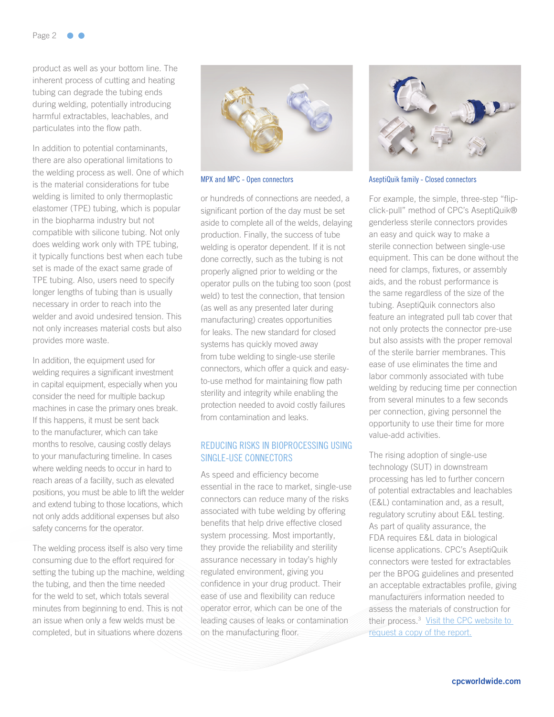product as well as your bottom line. The inherent process of cutting and heating tubing can degrade the tubing ends during welding, potentially introducing harmful extractables, leachables, and particulates into the flow path.

In addition to potential contaminants, there are also operational limitations to the welding process as well. One of which is the material considerations for tube welding is limited to only thermoplastic elastomer (TPE) tubing, which is popular in the biopharma industry but not compatible with silicone tubing. Not only does welding work only with TPE tubing, it typically functions best when each tube set is made of the exact same grade of TPE tubing. Also, users need to specify longer lengths of tubing than is usually necessary in order to reach into the welder and avoid undesired tension. This not only increases material costs but also provides more waste.

In addition, the equipment used for welding requires a significant investment in capital equipment, especially when you consider the need for multiple backup machines in case the primary ones break. If this happens, it must be sent back to the manufacturer, which can take months to resolve, causing costly delays to your manufacturing timeline. In cases where welding needs to occur in hard to reach areas of a facility, such as elevated positions, you must be able to lift the welder and extend tubing to those locations, which not only adds additional expenses but also safety concerns for the operator.

The welding process itself is also very time consuming due to the effort required for setting the tubing up the machine, welding the tubing, and then the time needed for the weld to set, which totals several minutes from beginning to end. This is not an issue when only a few welds must be completed, but in situations where dozens



or hundreds of connections are needed, a significant portion of the day must be set aside to complete all of the welds, delaying production. Finally, the success of tube welding is operator dependent. If it is not done correctly, such as the tubing is not properly aligned prior to welding or the operator pulls on the tubing too soon (post weld) to test the connection, that tension (as well as any presented later during manufacturing) creates opportunities for leaks. The new standard for closed systems has quickly moved away from tube welding to single-use sterile connectors, which offer a quick and easyto-use method for maintaining flow path sterility and integrity while enabling the protection needed to avoid costly failures from contamination and leaks.

# Reducing Risks In Bioprocessing Using Single-Use Connectors

As speed and efficiency become essential in the race to market, single-use connectors can reduce many of the risks associated with tube welding by offering benefits that help drive effective closed system processing. Most importantly, they provide the reliability and sterility assurance necessary in today's highly regulated environment, giving you confidence in your drug product. Their ease of use and flexibility can reduce operator error, which can be one of the leading causes of leaks or contamination on the manufacturing floor.



MPX and MPC - Open connectors **AseptiQuik family - Closed connectors** 

For example, the simple, three-step "flipclick-pull" method of CPC's AseptiQuik® genderless sterile connectors provides an easy and quick way to make a sterile connection between single-use equipment. This can be done without the need for clamps, fixtures, or assembly aids, and the robust performance is the same regardless of the size of the tubing. AseptiQuik connectors also feature an integrated pull tab cover that not only protects the connector pre-use but also assists with the proper removal of the sterile barrier membranes. This ease of use eliminates the time and labor commonly associated with tube welding by reducing time per connection from several minutes to a few seconds per connection, giving personnel the opportunity to use their time for more value-add activities.

The rising adoption of single-use technology (SUT) in downstream processing has led to further concern of potential extractables and leachables (E&L) contamination and, as a result, regulatory scrutiny about E&L testing. As part of quality assurance, the FDA requires E&L data in biological license applications. CPC's AseptiQuik connectors were tested for extractables per the BPOG guidelines and presented an acceptable extractables profile, giving manufacturers information needed to assess the materials of construction for their process.<sup>3</sup> Visit the CPC website to request a copy of the report.